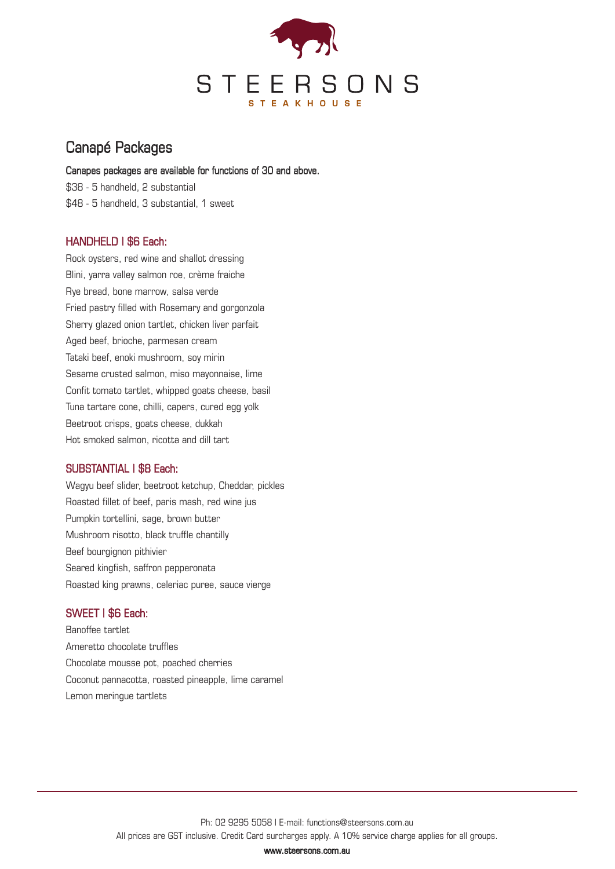

## Canapé Packages

#### Canapes packages are available for functions of 30 and above.

\$38 - 5 handheld, 2 substantial \$48 - 5 handheld, 3 substantial, 1 sweet

### HANDHELD | \$6 Each:

Rock oysters, red wine and shallot dressing Blini, yarra valley salmon roe, crème fraiche Rye bread, bone marrow, salsa verde Fried pastry filled with Rosemary and gorgonzola Sherry glazed onion tartlet, chicken liver parfait Aged beef, brioche, parmesan cream Tataki beef, enoki mushroom, soy mirin Sesame crusted salmon, miso mayonnaise, lime Confit tomato tartlet, whipped goats cheese, basil Tuna tartare cone, chilli, capers, cured egg yolk Beetroot crisps, goats cheese, dukkah Hot smoked salmon, ricotta and dill tart

### SUBSTANTIAL | \$8 Each:

Wagyu beef slider, beetroot ketchup, Cheddar, pickles Roasted fillet of beef, paris mash, red wine jus Pumpkin tortellini, sage, brown butter Mushroom risotto, black truffle chantilly Beef bourgignon pithivier Seared kingfish, saffron pepperonata Roasted king prawns, celeriac puree, sauce vierge

### SWEET | \$6 Each:

Banoffee tartlet Ameretto chocolate truffles Chocolate mousse pot, poached cherries Coconut pannacotta, roasted pineapple, lime caramel Lemon meringue tartlets

www.steersons.com.au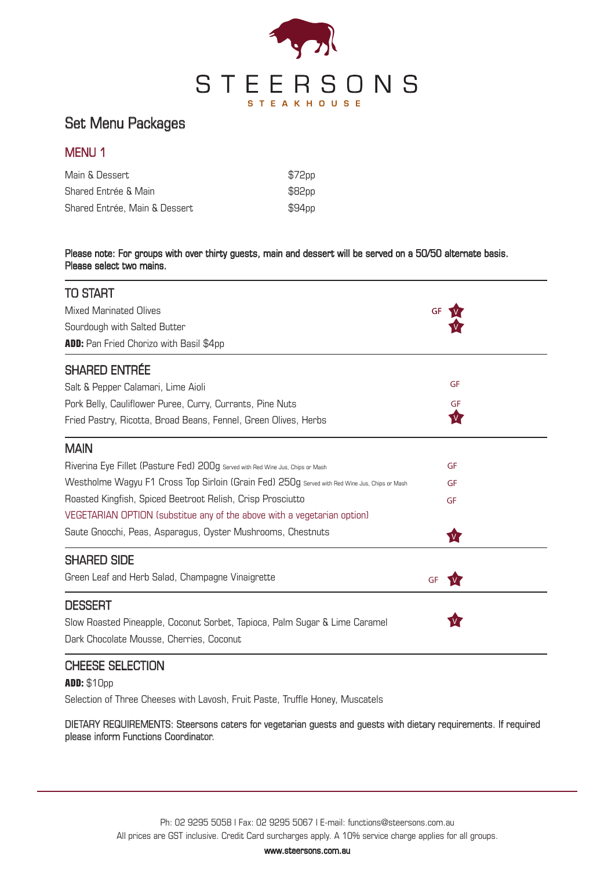

# Set Menu Packages

## MENU 1

| Main & Dessert                | \$72pp |
|-------------------------------|--------|
| Shared Entrée & Main          | \$82pp |
| Shared Entrée, Main & Dessert | \$94pp |

#### Please note: For groups with over thirty guests, main and dessert will be served on a 50/50 alternate basis. Please select two mains.

| TO START                                                                                      |          |  |
|-----------------------------------------------------------------------------------------------|----------|--|
| <b>Mixed Marinated Olives</b>                                                                 | GF       |  |
| Sourdough with Salted Butter                                                                  |          |  |
| ADD: Pan Fried Chorizo with Basil \$4pp                                                       |          |  |
| <b>SHARED ENTRÉE</b>                                                                          |          |  |
| Salt & Pepper Calamari, Lime Aioli                                                            | GF       |  |
| Pork Belly, Cauliflower Puree, Curry, Currants, Pine Nuts                                     | GF       |  |
| Fried Pastry, Ricotta, Broad Beans, Fennel, Green Olives, Herbs                               | <b>M</b> |  |
| <b>MAIN</b>                                                                                   |          |  |
| Riverina Eye Fillet (Pasture Fed) 200g Served with Red Wine Jus, Chips or Mash                | GF       |  |
| Westholme Wagyu F1 Cross Top Sirloin (Grain Fed) 250g Served with Red Wine Jus, Chips or Mash | GF       |  |
| Roasted Kingfish, Spiced Beetroot Relish, Crisp Prosciutto                                    | GF       |  |
| VEGETARIAN OPTION (substitue any of the above with a vegetarian option)                       |          |  |
| Saute Gnocchi, Peas, Asparagus, Oyster Mushrooms, Chestnuts                                   | <b>V</b> |  |
| <b>SHARED SIDE</b>                                                                            |          |  |
| Green Leaf and Herb Salad, Champagne Vinaigrette                                              | GF       |  |
| DESSERT                                                                                       |          |  |
| Slow Roasted Pineapple, Coconut Sorbet, Tapioca, Palm Sugar & Lime Caramel                    |          |  |
| Dark Chocolate Mousse, Cherries, Coconut                                                      |          |  |
| <b>CHEESE SELECTION</b>                                                                       |          |  |

**ADD:** \$10pp

Selection of Three Cheeses with Lavosh, Fruit Paste, Truffle Honey, Muscatels

DIETARY REQUIREMENTS: Steersons caters for vegetarian guests and guests with dietary requirements. If required please inform Functions Coordinator.